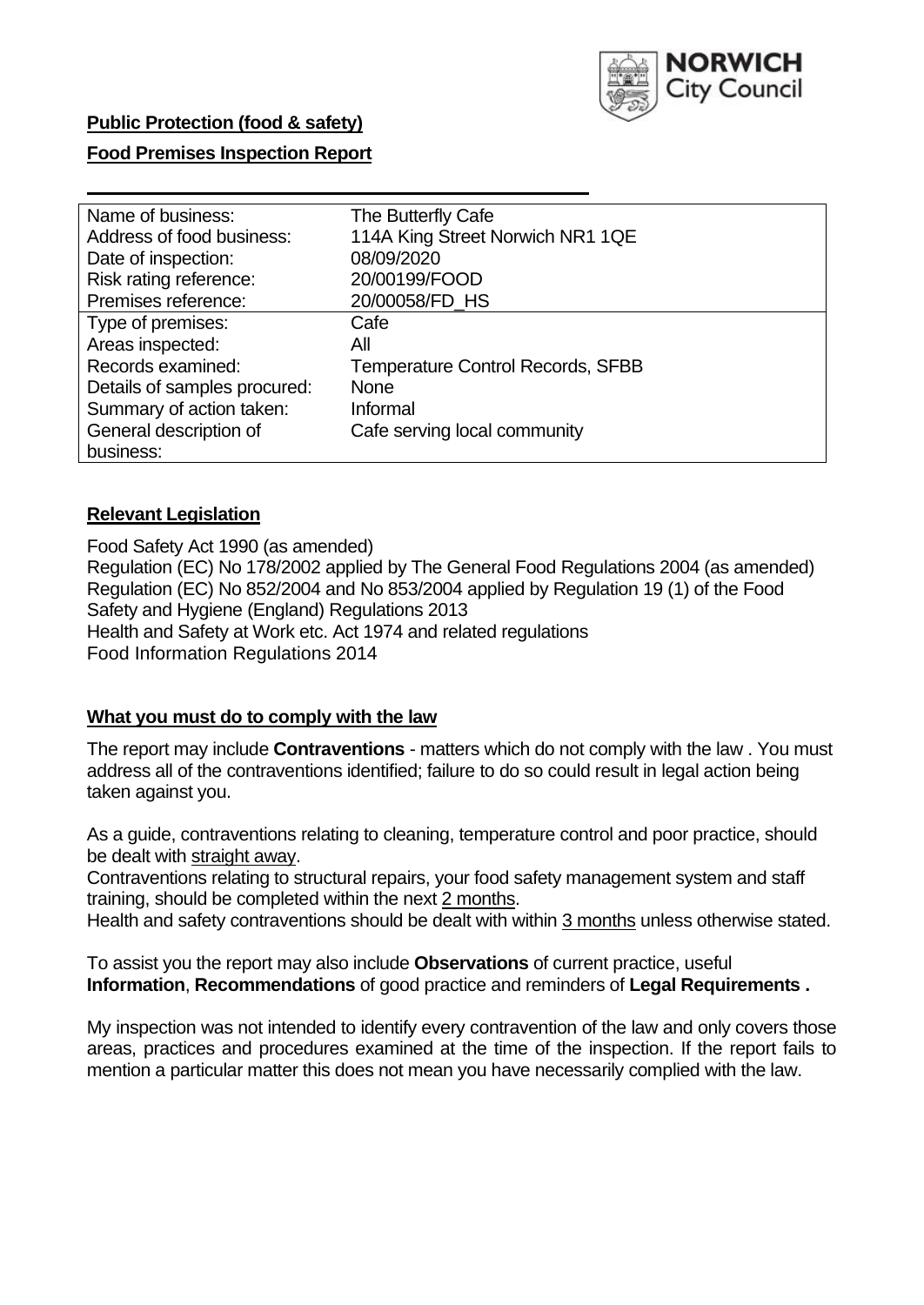

### **Food Premises Inspection Report**

| Name of business:            | The Butterfly Cafe                       |
|------------------------------|------------------------------------------|
| Address of food business:    | 114A King Street Norwich NR1 1QE         |
| Date of inspection:          | 08/09/2020                               |
| Risk rating reference:       | 20/00199/FOOD                            |
| Premises reference:          | 20/00058/FD_HS                           |
| Type of premises:            | Cafe                                     |
| Areas inspected:             | All                                      |
| Records examined:            | <b>Temperature Control Records, SFBB</b> |
| Details of samples procured: | <b>None</b>                              |
| Summary of action taken:     | Informal                                 |
| General description of       | Cafe serving local community             |
| business:                    |                                          |

### **Relevant Legislation**

 Food Safety Act 1990 (as amended) Regulation (EC) No 178/2002 applied by The General Food Regulations 2004 (as amended) Regulation (EC) No 852/2004 and No 853/2004 applied by Regulation 19 (1) of the Food Safety and Hygiene (England) Regulations 2013 Health and Safety at Work etc. Act 1974 and related regulations Food Information Regulations 2014

### **What you must do to comply with the law**

 The report may include **Contraventions** - matters which do not comply with the law . You must address all of the contraventions identified; failure to do so could result in legal action being taken against you.

 As a guide, contraventions relating to cleaning, temperature control and poor practice, should be dealt with straight away.

 Contraventions relating to structural repairs, your food safety management system and staff training, should be completed within the next 2 months.

Health and safety contraventions should be dealt with within 3 months unless otherwise stated.

 To assist you the report may also include **Observations** of current practice, useful **Information**, **Recommendations** of good practice and reminders of **Legal Requirements .** 

 My inspection was not intended to identify every contravention of the law and only covers those areas, practices and procedures examined at the time of the inspection. If the report fails to mention a particular matter this does not mean you have necessarily complied with the law.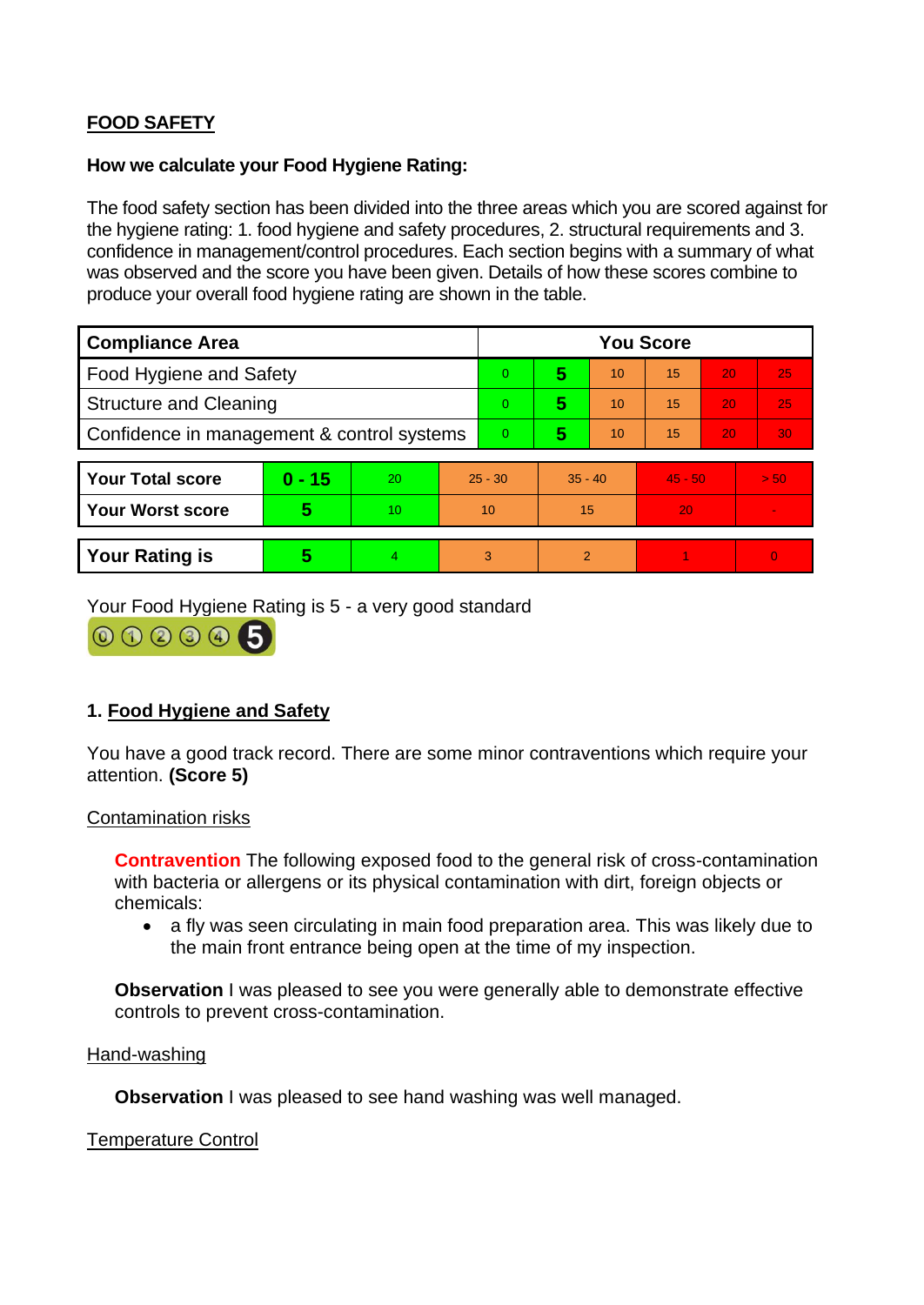# **FOOD SAFETY**

### **How we calculate your Food Hygiene Rating:**

 The food safety section has been divided into the three areas which you are scored against for the hygiene rating: 1. food hygiene and safety procedures, 2. structural requirements and 3. confidence in management/control procedures. Each section begins with a summary of what was observed and the score you have been given. Details of how these scores combine to produce your overall food hygiene rating are shown in the table.

| <b>Compliance Area</b>                     |          |    |                | <b>You Score</b> |                |    |           |    |                |  |  |
|--------------------------------------------|----------|----|----------------|------------------|----------------|----|-----------|----|----------------|--|--|
| Food Hygiene and Safety                    |          |    |                | $\Omega$         | 5              | 10 | 15        | 20 | 25             |  |  |
| <b>Structure and Cleaning</b>              |          |    | $\Omega$       | 5                | 10             | 15 | 20        | 25 |                |  |  |
| Confidence in management & control systems |          |    | $\overline{0}$ | 5                | 10             | 15 | 20        | 30 |                |  |  |
|                                            |          |    |                |                  |                |    |           |    |                |  |  |
| <b>Your Total score</b>                    | $0 - 15$ | 20 | $25 - 30$      |                  | $35 - 40$      |    | $45 - 50$ |    | > 50           |  |  |
| <b>Your Worst score</b>                    | 5        | 10 |                | 10               | 15             |    | 20        |    | $\blacksquare$ |  |  |
|                                            |          |    |                |                  |                |    |           |    |                |  |  |
| <b>Your Rating is</b>                      | 5        | 4. |                | 3                | $\overline{2}$ |    |           |    | $\Omega$       |  |  |

Your Food Hygiene Rating is 5 - a very good standard

000005

# **1. Food Hygiene and Safety**

 You have a good track record. There are some minor contraventions which require your attention. **(Score 5)** 

#### Contamination risks

 **Contravention** The following exposed food to the general risk of cross-contamination with bacteria or allergens or its physical contamination with dirt, foreign objects or chemicals:

 • a fly was seen circulating in main food preparation area. This was likely due to the main front entrance being open at the time of my inspection.

 **Observation** I was pleased to see you were generally able to demonstrate effective controls to prevent cross-contamination.

#### Hand-washing

**Observation** I was pleased to see hand washing was well managed.

### Temperature Control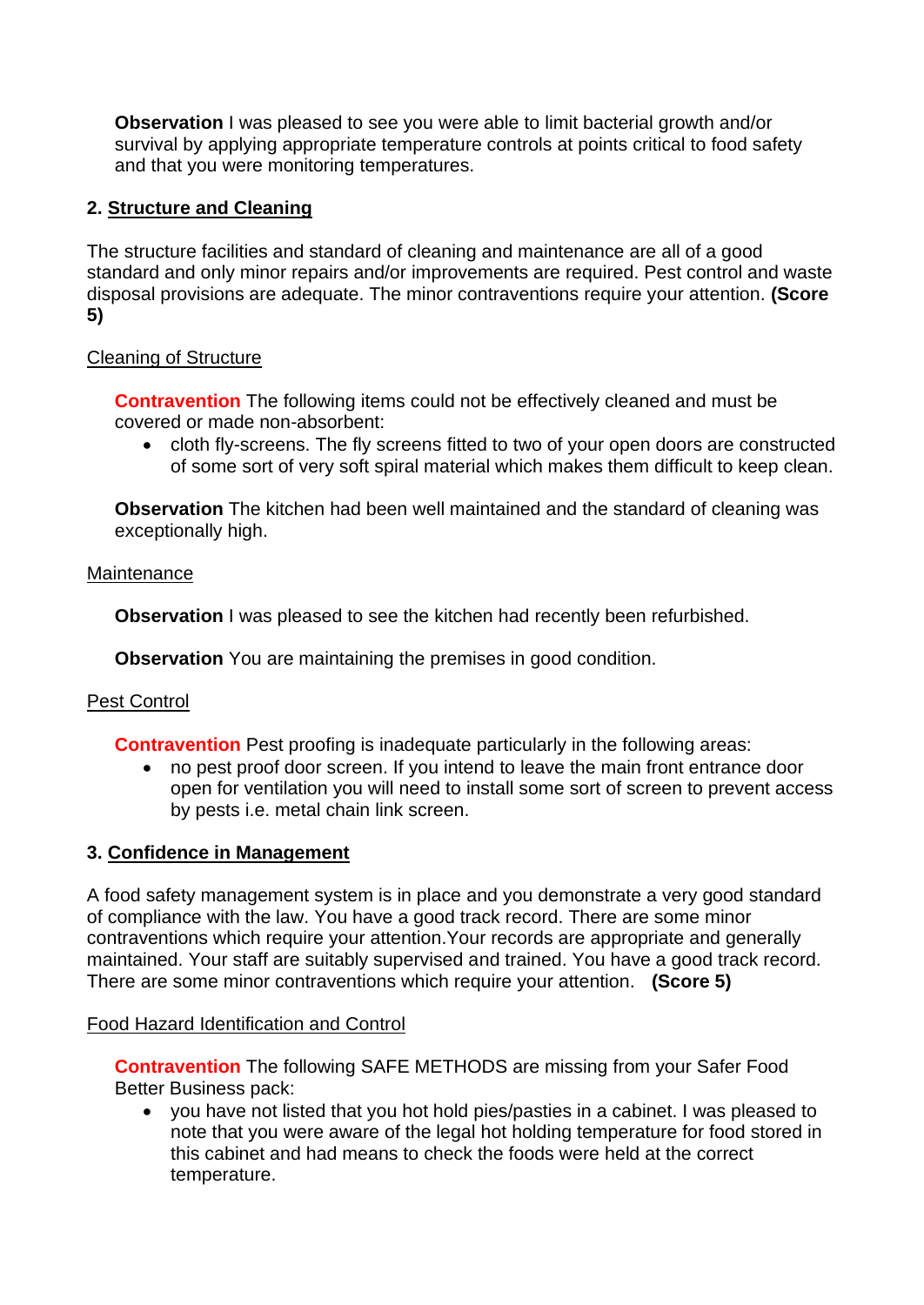**Observation** I was pleased to see you were able to limit bacterial growth and/or survival by applying appropriate temperature controls at points critical to food safety and that you were monitoring temperatures.

# **2. Structure and Cleaning**

 The structure facilities and standard of cleaning and maintenance are all of a good standard and only minor repairs and/or improvements are required. Pest control and waste disposal provisions are adequate. The minor contraventions require your attention. **(Score 5)** 

## Cleaning of Structure

 **Contravention** The following items could not be effectively cleaned and must be covered or made non-absorbent:

 • cloth fly-screens. The fly screens fitted to two of your open doors are constructed of some sort of very soft spiral material which makes them difficult to keep clean.

 **Observation** The kitchen had been well maintained and the standard of cleaning was exceptionally high.

### **Maintenance**

**Observation** I was pleased to see the kitchen had recently been refurbished.

**Observation** You are maintaining the premises in good condition.

# Pest Control

**Contravention** Pest proofing is inadequate particularly in the following areas:

• no pest proof door screen. If you intend to leave the main front entrance door open for ventilation you will need to install some sort of screen to prevent access by pests i.e. metal chain link screen.

### **3. Confidence in Management**

A food safety management system is in place and you demonstrate a very good standard of compliance with the law. You have a good track record. There are some minor contraventions which require your attention.Your records are appropriate and generally maintained. Your staff are suitably supervised and trained. You have a good track record. There are some minor contraventions which require your attention. **(Score 5)** 

### Food Hazard Identification and Control

**Contravention** The following SAFE METHODS are missing from your Safer Food Better Business pack:

• you have not listed that you hot hold pies/pasties in a cabinet. I was pleased to note that you were aware of the legal hot holding temperature for food stored in this cabinet and had means to check the foods were held at the correct temperature.